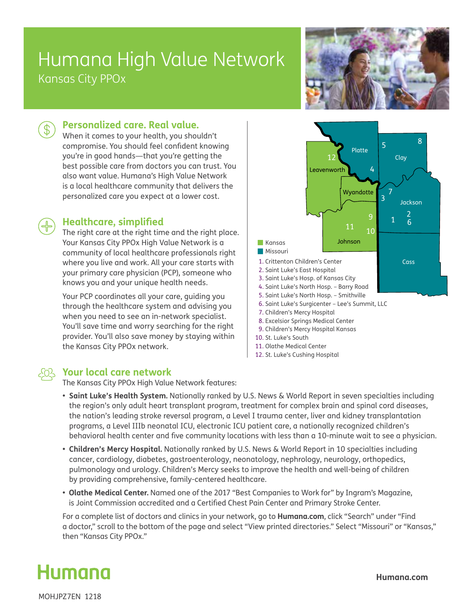## Humana High Value Network Kansas City PPOx





### **Personalized care. Real value.**

When it comes to your health, you shouldn't compromise. You should feel confident knowing you're in good hands—that you're getting the best possible care from doctors you can trust. You also want value. Humana's High Value Network is a local healthcare community that delivers the personalized care you expect at a lower cost.

#### **Healthcare, simplified**

The right care at the right time and the right place. Your Kansas City PPOx High Value Network is a community of local healthcare professionals right where you live and work. All your care starts with your primary care physician (PCP), someone who knows you and your unique health needs.

Your PCP coordinates all your care, guiding you through the healthcare system and advising you when you need to see an in-network specialist. You'll save time and worry searching for the right provider. You'll also save money by staying within the Kansas City PPOx network.



#### 12. St. Luke's Cushing Hospital

#### **Your local care network**

The Kansas City PPOx High Value Network features:

- **• Saint Luke's Health System.** Nationally ranked by U.S. News & World Report in seven specialties including the region's only adult heart transplant program, treatment for complex brain and spinal cord diseases, the nation's leading stroke reversal program, a Level I trauma center, liver and kidney transplantation programs, a Level IIIb neonatal ICU, electronic ICU patient care, a nationally recognized children's behavioral health center and five community locations with less than a 10-minute wait to see a physician.
- **Children's Mercy Hospital.** Nationally ranked by U.S. News & World Report in 10 specialties including cancer, cardiology, diabetes, gastroenterology, neonatology, nephrology, neurology, orthopedics, pulmonology and urology. Children's Mercy seeks to improve the health and well-being of children by providing comprehensive, family-centered healthcare.
- **Olathe Medical Center.** Named one of the 2017 "Best Companies to Work for" by Ingram's Magazine, is Joint Commission accredited and a Certified Chest Pain Center and Primary Stroke Center.

For a complete list of doctors and clinics in your network, go to **Humana.com**, click "Search" under "Find a doctor," scroll to the bottom of the page and select "View printed directories." Select "Missouri" or "Kansas," then "Kansas City PPOx."



MOHJPZ7EN 1218

**Humana.com**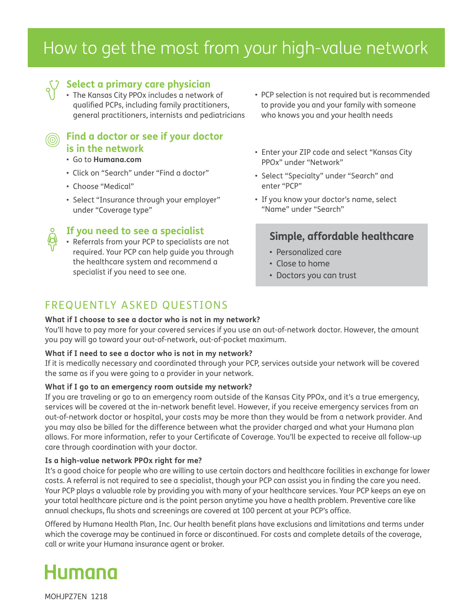# How to get the most from your high-value network

#### **Select a primary care physician**

• The Kansas City PPOx includes a network of qualified PCPs, including family practitioners, general practitioners, internists and pediatricians

## **Find a doctor or see if your doctor is in the network**

- Go to **Humana.com**
- Click on "Search" under "Find a doctor"
- Choose "Medical"
- Select "Insurance through your employer" under "Coverage type"
- 

#### **If you need to see a specialist**

• Referrals from your PCP to specialists are not required. Your PCP can help guide you through the healthcare system and recommend a specialist if you need to see one.

- PCP selection is not required but is recommended to provide you and your family with someone who knows you and your health needs
- Enter your ZIP code and select "Kansas City PPOx" under "Network"
- Select "Specialty" under "Search" and enter "PCP"
- If you know your doctor's name, select "Name" under "Search"

## **Simple, affordable healthcare**

- Personalized care
- Close to home
- Doctors you can trust

## FREQUENTLY ASKED QUESTIONS

#### **What if I choose to see a doctor who is not in my network?**

You'll have to pay more for your covered services if you use an out-of-network doctor. However, the amount you pay will go toward your out-of-network, out-of-pocket maximum.

#### **What if I need to see a doctor who is not in my network?**

If it is medically necessary and coordinated through your PCP, services outside your network will be covered the same as if you were going to a provider in your network.

#### **What if I go to an emergency room outside my network?**

If you are traveling or go to an emergency room outside of the Kansas City PPOx, and it's a true emergency, services will be covered at the in-network benefit level. However, if you receive emergency services from an out-of-network doctor or hospital, your costs may be more than they would be from a network provider. And you may also be billed for the difference between what the provider charged and what your Humana plan allows. For more information, refer to your Certificate of Coverage. You'll be expected to receive all follow-up care through coordination with your doctor.

#### **Is a high-value network PPOx right for me?**

It's a good choice for people who are willing to use certain doctors and healthcare facilities in exchange for lower costs. A referral is not required to see a specialist, though your PCP can assist you in finding the care you need. Your PCP plays a valuable role by providing you with many of your healthcare services. Your PCP keeps an eye on your total healthcare picture and is the point person anytime you have a health problem. Preventive care like annual checkups, flu shots and screenings are covered at 100 percent at your PCP's office.

Offered by Humana Health Plan, Inc. Our health benefit plans have exclusions and limitations and terms under which the coverage may be continued in force or discontinued. For costs and complete details of the coverage, call or write your Humana insurance agent or broker.



MOHJPZ7EN 1218